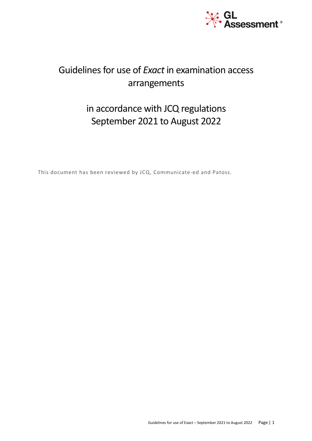

# Guidelines for use of *Exact* in examination access arrangements

# in accordance with JCQ regulations September 2021 to August 2022

This document has been reviewed by JCQ, Communicate-ed and Patoss.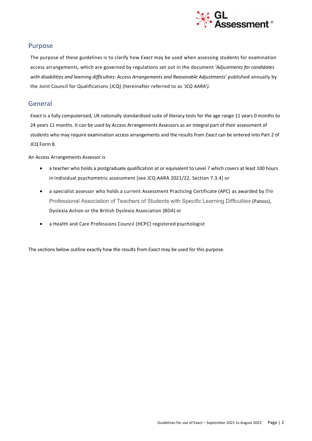

### Purpose

The purpose of these guidelines is to clarify how *Exact* may be used when assessing students for examination access arrangements, which are governed by regulations set out in the document *'Adjustments for candidates*  with disabilities and learning difficulties: Access Arrangements and Reasonable Adjustments' published annually by the Joint Council for Qualifications (JCQ) (hereinafter referred to as *'JCQ AARA').*

### General

*Exact* is a fully computerised, UK nationally standardised suite of literacy tests for the age range 11 years 0 months to 24 years 11 months. It can be used by Access Arrangements Assessors as an integral part of their assessment of students who may require examination access arrangements and the results from *Exact* can be entered into Part 2 of JCQ Form 8.

An Access Arrangements Assessor is

- a teacher who holds a postgraduate qualification at or equivalent to Level 7 which covers at least 100 hours in individual psychometric assessment [see JCQ AARA 2021/22, Section 7.3.4] or
- a specialist assessor who holds a current Assessment Practicing Certificate (APC) as awarded by the Professional Association of Teachers of Students with Specific Learning Difficulties (Patoss), Dyslexia Action or the British Dyslexia Association (BDA) or
- a Health and Care Professions Council (HCPC) registered psychologist

The sections below outline exactly how the results from *Exact* may be used for this purpose.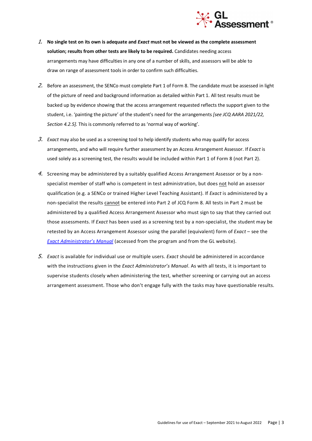

- 1. **No single test on its own is adequate and** *Exact* **must not be viewed as the complete assessment solution; results from other tests are likely to be required.** Candidates needing access arrangements may have difficulties in any one of a number of skills, and assessors will be able to draw on range of assessment tools in order to confirm such difficulties.
- 2. Before an assessment, the SENCo must complete Part 1 of Form 8. The candidate must be assessed in light of the picture of need and background information as detailed within Part 1. All test results must be backed up by evidence showing that the access arrangement requested reflects the support given to the student, i.e. 'painting the picture' of the student's need for the arrangements *[see JCQ AARA 2021/22, Section 4.2.5].* This is commonly referred to as 'normal way of working'.
- 3. *Exact* may also be used as a screening tool to help identify students who may qualify for access arrangements, and who will require further assessment by an Access Arrangement Assessor. If *Exact* is used solely as a screening test, the results would be included within Part 1 of Form 8 (not Part 2).
- 4. Screening may be administered by a suitably qualified Access Arrangement Assessor or by a nonspecialist member of staff who is competent in test administration, but does not hold an assessor qualification (e.g. a SENCo or trained Higher Level Teaching Assistant). If *Exact* is administered by a non-specialist the results cannot be entered into Part 2 of JCQ Form 8. All tests in Part 2 must be administered by a qualified Access Arrangement Assessor who must sign to say that they carried out those assessments. If *Exact* has been used as a screening test by a non-specialist, the student may be retested by an Access Arrangement Assessor using the parallel (equivalent) form of *Exact* – see the *Exact Administrator's Manual* (accessed from the program and from the GL website).
- 5. *Exact* is available for individual use or multiple users. *Exact* should be administered in accordance with the instructions given in the *Exact Administrator's Manual*. As with all tests, it is important to supervise students closely when administering the test, whether screening or carrying out an access arrangement assessment. Those who don't engage fully with the tasks may have questionable results.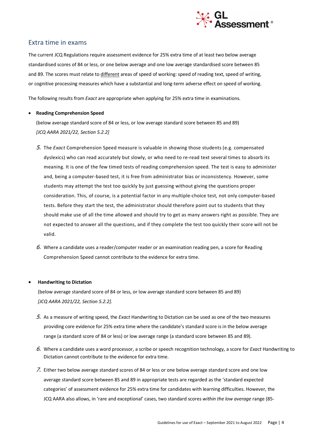

## Extra time in exams

The current JCQ Regulations require assessment evidence for 25% extra time of at least two below average standardised scores of 84 or less, or one below average and one low average standardised score between 85 and 89. The scores must relate to different areas of speed of working: speed of reading text, speed of writing, or cognitive processing measures which have a substantial and long-term adverse effect on speed of working.

The following results from *Exact* are appropriate when applying for 25% extra time in examinations.

#### • **Reading Comprehension Speed**

(below average standard score of 84 or less, or low average standard score between 85 and 89) *[JCQ AARA 2021/22, Section 5.2.2]*

- 5. The *Exact* Comprehension Speed measure is valuable in showing those students (e.g. compensated dyslexics) who can read accurately but slowly, or who need to re-read text several times to absorb its meaning. It is one of the few timed tests of reading comprehension speed. The test is easy to administer and, being a computer-based test, it is free from administrator bias or inconsistency. However, some students may attempt the test too quickly by just guessing without giving the questions proper consideration. This, of course, is a potential factor in any multiple-choice test, not only computer-based tests. Before they start the test, the administrator should therefore point out to students that they should make use of all the time allowed and should try to get as many answers right as possible. They are not expected to answer all the questions, and if they complete the test too quickly their score will not be valid.
- 6. Where a candidate uses a reader/computer reader or an examination reading pen, a score for Reading Comprehension Speed cannot contribute to the evidence for extra time.

#### • **Handwriting to Dictation**

(below average standard score of 84 or less, or low average standard score between 85 and 89) *[JCQ AARA 2021/22, Section 5.2.2].*

- 5. As a measure of writing speed, the *Exact* Handwriting to Dictation can be used as one of the two measures providing core evidence for 25% extra time where the candidate's standard score is in the below average range (a standard score of 84 or less) or low average range (a standard score between 85 and 89).
- 6. Where a candidate uses a word processor, a scribe or speech recognition technology, a score for *Exact* Handwriting to Dictation cannot contribute to the evidence for extra time.
- 7. Either two below average standard scores of 84 or less or one below average standard score and one low average standard score between 85 and 89 in appropriate tests are regarded as the 'standard expected categories' of assessment evidence for 25% extra time for candidates with learning difficulties. However, the JCQ AARA also allows, in 'rare and exceptional' cases, two standard scores *within the low average* range (85-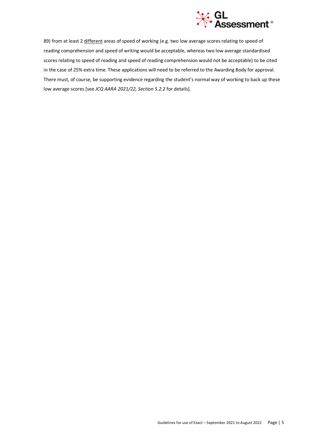

89) from at least 2 different areas of speed of working (e.g. two low average scores relating to speed of reading comprehension and speed of writing would be acceptable, whereas two low average standardised scores relating to speed of reading and speed of reading comprehension would not be acceptable) to be cited in the case of 25% extra time. These applications will need to be referred to the Awarding Body for approval. There must, of course, be supporting evidence regarding the student's normal way of working to back up these low average scores [see *JCQ AARA 2021/22, Section 5.2.2* for details]*.*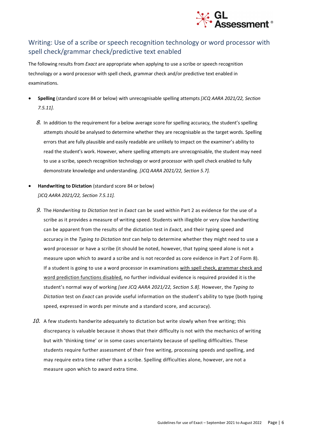

## Writing: Use of a scribe or speech recognition technology or word processor with spell check/grammar check/predictive text enabled

The following results from *Exact* are appropriate when applying to use a scribe or speech recognition technology or a word processor with spell check, grammar check and/or predictive text enabled in examinations.

- **Spelling** (standard score 84 or below) with unrecognisable spelling attempts *[JCQ AARA 2021/22, Section 7.5.11].*
	- $8.$  In addition to the requirement for a below average score for spelling accuracy, the student's spelling attempts should be analysed to determine whether they are recognisable as the target words. Spelling errors that are fully plausible and easily readable are unlikely to impact on the examiner's ability to read the student's work. However, where spelling attempts are unrecognisable, the student may need to use a scribe, speech recognition technology or word processor with spell check enabled to fully demonstrate knowledge and understanding. *[JCQ AARA 2021/22, Section 5.7].*
- **Handwriting to Dictation** (standard score 84 or below) *[JCQ AARA 2021/22, Section 7.5.11].*
	- 9. The *Handwriting to Dictation test* in *Exact* can be used within Part 2 as evidence for the use of a scribe as it provides a measure of writing speed. Students with illegible or very slow handwriting can be apparent from the results of the dictation test in *Exact*, and their typing speed and accuracy in the *Typing to Dictation test* can help to determine whether they might need to use a word processor or have a scribe (it should be noted, however, that typing speed alone is not a measure upon which to award a scribe and is not recorded as core evidence in Part 2 of Form 8). If a student is going to use a word processor in examinations with spell check, grammar check and word prediction functions disabled, no further individual evidence is required provided it is the student's normal way of working *[see JCQ AARA 2021/22, Section 5.8].* However, the *Typing to Dictation* test on *Exact* can provide useful information on the student's ability to type (both typing speed, expressed in words per minute and a standard score, and accuracy).
	- 10. A few students handwrite adequately to dictation but write slowly when free writing; this discrepancy is valuable because it shows that their difficulty is not with the mechanics of writing but with 'thinking time' or in some cases uncertainty because of spelling difficulties. These students require further assessment of their free writing, processing speeds and spelling, and may require extra time rather than a scribe. Spelling difficulties alone, however, are not a measure upon which to award extra time.